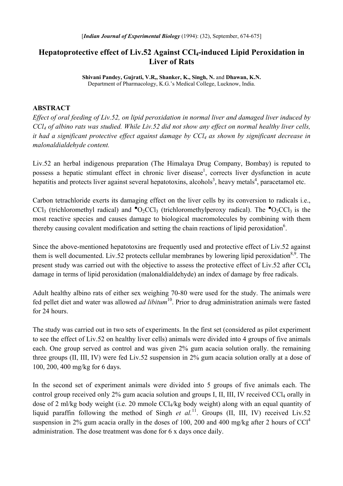## **Hepatoprotective effect of Liv.52 Against CCl4-induced Lipid Peroxidation in Liver of Rats**

**Shivani Pandey, Gujrati, V.R,, Shanker, K., Singh, N.** and **Dhawan, K.N.**  Department of Pharmacology, K.G.'s Medical College, Lucknow, India.

## **ABSTRACT**

*Effect of oral feeding of Liv.52, on lipid peroxidation in normal liver and damaged liver induced by CCl4 of albino rats was studied. While Liv.52 did not show any effect on normal healthy liver cells,*  it had a significant protective effect against damage by CCl<sub>4</sub> as shown by significant decrease in *malonaldialdehyde content.* 

Liv.52 an herbal indigenous preparation (The Himalaya Drug Company, Bombay) is reputed to possess a hepatic stimulant effect in chronic liver disease<sup>1</sup>, corrects liver dysfunction in acute hepatitis and protects liver against several hepatotoxins, alcohols<sup>3</sup>, heavy metals<sup>4</sup>, paracetamol etc.

Carbon tetrachloride exerts its damaging effect on the liver cells by its conversion to radicals i.e., CCl<sub>3</sub> (trichloromethyl radical) and  $\textdegree O_2$ CCl<sub>3</sub> (trichloromethylperoxy radical). The  $\textdegree O_2$ CCl<sub>3</sub> is the most reactive species and causes damage to biological macromolecules by combining with them thereby causing covalent modification and setting the chain reactions of lipid peroxidation<sup>6</sup>.

Since the above-mentioned hepatotoxins are frequently used and protective effect of Liv.52 against them is well documented. Liv.52 protects cellular membranes by lowering lipid peroxidation $8.9$ . The present study was carried out with the objective to assess the protective effect of Liv.52 after CCl4 damage in terms of lipid peroxidation (malonaldialdehyde) an index of damage by free radicals.

Adult healthy albino rats of either sex weighing 70-80 were used for the study. The animals were fed pellet diet and water was allowed *ad libitum*10. Prior to drug administration animals were fasted for 24 hours.

The study was carried out in two sets of experiments. In the first set (considered as pilot experiment to see the effect of Liv.52 on healthy liver cells) animals were divided into 4 groups of five animals each. One group served as control and was given 2% gum acacia solution orally. the remaining three groups (II, III, IV) were fed Liv.52 suspension in 2% gum acacia solution orally at a dose of 100, 200, 400 mg/kg for 6 days.

In the second set of experiment animals were divided into 5 groups of five animals each. The control group received only 2% gum acacia solution and groups I, II, III, IV received  $CCI<sub>4</sub>$  orally in dose of 2 ml/kg body weight (i.e. 20 mmole  $CCl_4$ /kg body weight) along with an equal quantity of liquid paraffin following the method of Singh *et al.*<sup>11</sup>. Groups (II, III, IV) received Liv.52 suspension in 2% gum acacia orally in the doses of 100, 200 and 400 mg/kg after 2 hours of  $CCl<sup>4</sup>$ administration. The dose treatment was done for 6 x days once daily.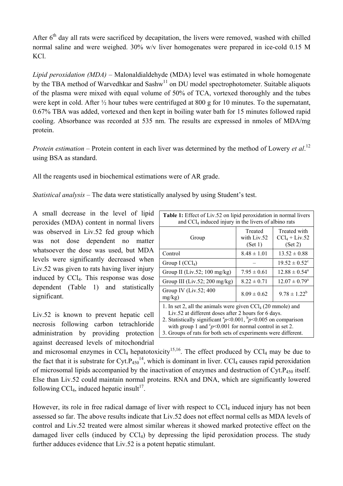After  $6<sup>th</sup>$  day all rats were sacrificed by decapitation, the livers were removed, washed with chilled normal saline and were weighed. 30% w/v liver homogenates were prepared in ice-cold 0.15 M KCl.

*Lipid peroxidation (MDA)* – Malonaldialdehyde (MDA) level was estimated in whole homogenate by the TBA method of Warvedhkar and Sashw<sup>11</sup> on DU model spectrophotometer. Suitable aliquots of the plasma were mixed with equal volume of 50% of TCA, vortexed thoroughly and the tubes were kept in cold. After ½ hour tubes were centrifuged at 800 g for 10 minutes. To the supernatant, 0.67% TBA was added, vortexed and then kept in boiling water bath for 15 minutes followed rapid cooling. Absorbance was recorded at 535 nm. The results are expressed in nmoles of MDA/mg protein.

*Protein estimation* – Protein content in each liver was determined by the method of Lowery *et al*. 12 using BSA as standard.

All the reagents used in biochemical estimations were of AR grade.

*Statistical analysis* – The data were statistically analysed by using Student's test.

A small decrease in the level of lipid peroxides (MDA) content in normal livers was observed in Liv.52 fed group which was not dose dependent no matter whatsoever the dose was used, but MDA levels were significantly decreased when Liv.52 was given to rats having liver injury induced by CCl4. This response was dose dependent (Table 1) and statistically significant.

Liv.52 is known to prevent hepatic cell necrosis following carbon tetrachloride administration by providing protection 3 against decreased levels of mitochondrial

| <b>Table 1:</b> Effect of Liv.52 on lipid peroxidation in normal livers<br>and CCl <sub>4</sub> induced injury in the livers of albino rats                                                                                                                                                                                                       |                                   |                                             |
|---------------------------------------------------------------------------------------------------------------------------------------------------------------------------------------------------------------------------------------------------------------------------------------------------------------------------------------------------|-----------------------------------|---------------------------------------------|
| Group                                                                                                                                                                                                                                                                                                                                             | Treated<br>with Liv.52<br>(Set 1) | Treated with<br>$CCl_4 + Liv.52$<br>(Set 2) |
| Control                                                                                                                                                                                                                                                                                                                                           | $8.48 \pm 1.01$                   | $13.52 \pm 0.88$                            |
| Group I $(CCl4)$                                                                                                                                                                                                                                                                                                                                  |                                   | $19.52 \pm 0.52^{\circ}$                    |
| Group II (Liv.52; $100 \text{ mg/kg}$ )                                                                                                                                                                                                                                                                                                           | $7.95 \pm 0.61$                   | $12.88 \pm 0.54^{\circ}$                    |
| Group III (Liv.52; 200 mg/kg)                                                                                                                                                                                                                                                                                                                     | $8.22 \pm 0.71$                   | $12.07 \pm 0.79^{\circ}$                    |
| Group IV (Liv.52; 400<br>mg/kg)                                                                                                                                                                                                                                                                                                                   | $8.09 \pm 0.62$                   | $9.78 \pm 1.22^b$                           |
| 1. In set 2, all the animals were given $\text{CCl}_4$ (20 mmole) and<br>Liv.52 at different doses after 2 hours for 6 days.<br>2. Statistically significant ${}^a\!p<0.001, {}^b\!p<0.005$ on comparison<br>with group 1 and $\epsilon p < 0.001$ for normal control in set 2.<br>3. Groups of rats for both sets of experiments were different. |                                   |                                             |

and microsomal enzymes in CCl<sub>4</sub> hepatotoxicity<sup>15,16</sup>. The effect produced by CCl<sub>4</sub> may be due to the fact that it is substrate for Cyt. $P_{450}^{14}$ , which is dominant in liver. CCl<sub>4</sub> causes rapid peroxidation of microsomal lipids accompanied by the inactivation of enzymes and destruction of  $Cvt.P_{450}$  itself. Else than Liv.52 could maintain normal proteins. RNA and DNA, which are significantly lowered following CCl<sub>4</sub>, induced hepatic insult<sup>17</sup>.

However, its role in free radical damage of liver with respect to  $CCl<sub>4</sub>$  induced injury has not been assessed so far. The above results indicate that Liv.52 does not effect normal cells as MDA levels of control and Liv.52 treated were almost similar whereas it showed marked protective effect on the damaged liver cells (induced by  $CCl<sub>4</sub>$ ) by depressing the lipid peroxidation process. The study further adduces evidence that Liv.52 is a potent hepatic stimulant.